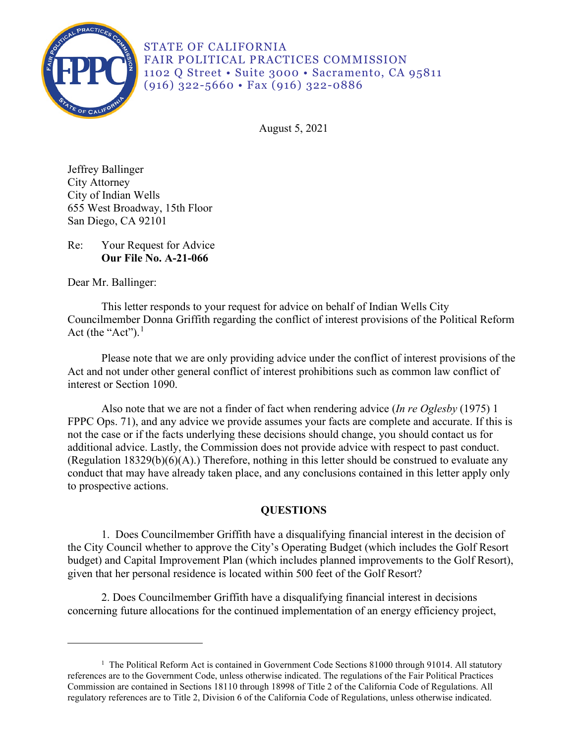

STATE OF CALIFORNIA FAIR POLITICAL PRACTICES COMMISSION 1102 Q Street • Suite 3000 • Sacramento, CA 95811 (916) 322-5660 • Fax (916) 322-0886

August 5, 2021

Jeffrey Ballinger City Attorney City of Indian Wells 655 West Broadway, 15th Floor San Diego, CA 92101

Re: Your Request for Advice **Our File No. A-21-066** 

Dear Mr. Ballinger:

This letter responds to your request for advice on behalf of Indian Wells City Councilmember Donna Griffith regarding the conflict of interest provisions of the Political Reform Act (the "Act"). $<sup>1</sup>$ </sup>

 Act and not under other general conflict of interest prohibitions such as common law conflict of Please note that we are only providing advice under the conflict of interest provisions of the interest or Section 1090.

Also note that we are not a finder of fact when rendering advice (*In re Oglesby* (1975) 1 FPPC Ops. 71), and any advice we provide assumes your facts are complete and accurate. If this is not the case or if the facts underlying these decisions should change, you should contact us for additional advice. Lastly, the Commission does not provide advice with respect to past conduct. (Regulation 18329(b)(6)(A).) Therefore, nothing in this letter should be construed to evaluate any conduct that may have already taken place, and any conclusions contained in this letter apply only to prospective actions.

# **QUESTIONS**

1. Does Councilmember Griffith have a disqualifying financial interest in the decision of the City Council whether to approve the City's Operating Budget (which includes the Golf Resort budget) and Capital Improvement Plan (which includes planned improvements to the Golf Resort), given that her personal residence is located within 500 feet of the Golf Resort?

 concerning future allocations for the continued implementation of an energy efficiency project, 2. Does Councilmember Griffith have a disqualifying financial interest in decisions

<span id="page-0-0"></span><sup>&</sup>lt;sup>1</sup> The Political Reform Act is contained in Government Code Sections 81000 through 91014. All statutory references are to the Government Code, unless otherwise indicated. The regulations of the Fair Political Practices Commission are contained in Sections 18110 through 18998 of Title 2 of the California Code of Regulations. All regulatory references are to Title 2, Division 6 of the California Code of Regulations, unless otherwise indicated.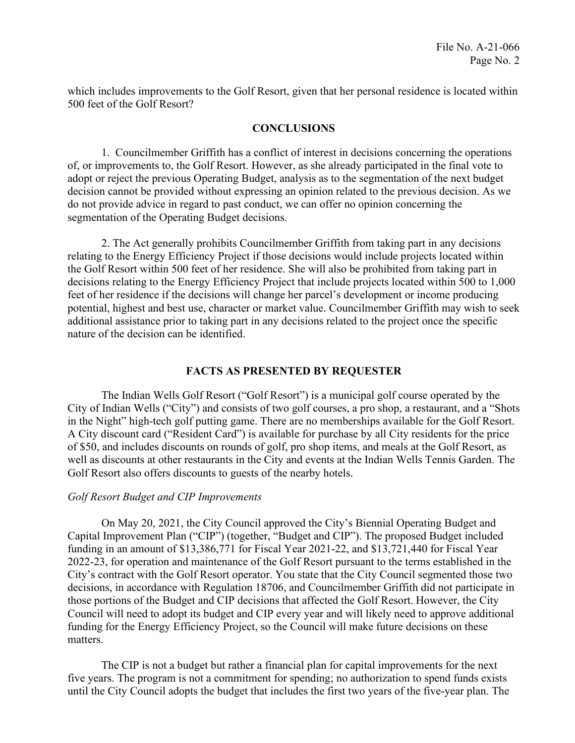which includes improvements to the Golf Resort, given that her personal residence is located within 500 feet of the Golf Resort?

### **CONCLUSIONS**

 of, or improvements to, the Golf Resort. However, as she already participated in the final vote to 1. Councilmember Griffith has a conflict of interest in decisions concerning the operations adopt or reject the previous Operating Budget, analysis as to the segmentation of the next budget decision cannot be provided without expressing an opinion related to the previous decision. As we do not provide advice in regard to past conduct, we can offer no opinion concerning the segmentation of the Operating Budget decisions.

 additional assistance prior to taking part in any decisions related to the project once the specific 2. The Act generally prohibits Councilmember Griffith from taking part in any decisions relating to the Energy Efficiency Project if those decisions would include projects located within the Golf Resort within 500 feet of her residence. She will also be prohibited from taking part in decisions relating to the Energy Efficiency Project that include projects located within 500 to 1,000 feet of her residence if the decisions will change her parcel's development or income producing potential, highest and best use, character or market value. Councilmember Griffith may wish to seek nature of the decision can be identified.

## **FACTS AS PRESENTED BY REQUESTER**

 City of Indian Wells ("City") and consists of two golf courses, a pro shop, a restaurant, and a "Shots The Indian Wells Golf Resort ("Golf Resort") is a municipal golf course operated by the in the Night" high-tech golf putting game. There are no memberships available for the Golf Resort. A City discount card ("Resident Card") is available for purchase by all City residents for the price of \$50, and includes discounts on rounds of golf, pro shop items, and meals at the Golf Resort, as well as discounts at other restaurants in the City and events at the Indian Wells Tennis Garden. The Golf Resort also offers discounts to guests of the nearby hotels.

## *Golf Resort Budget and CIP Improvements*

 Council will need to adopt its budget and CIP every year and will likely need to approve additional On May 20, 2021, the City Council approved the City's Biennial Operating Budget and Capital Improvement Plan ("CIP") (together, "Budget and CIP"). The proposed Budget included funding in an amount of \$13,386,771 for Fiscal Year 2021-22, and \$13,721,440 for Fiscal Year 2022-23, for operation and maintenance of the Golf Resort pursuant to the terms established in the City's contract with the Golf Resort operator. You state that the City Council segmented those two decisions, in accordance with Regulation 18706, and Councilmember Griffith did not participate in those portions of the Budget and CIP decisions that affected the Golf Resort. However, the City funding for the Energy Efficiency Project, so the Council will make future decisions on these matters.

The CIP is not a budget but rather a financial plan for capital improvements for the next five years. The program is not a commitment for spending; no authorization to spend funds exists until the City Council adopts the budget that includes the first two years of the five-year plan. The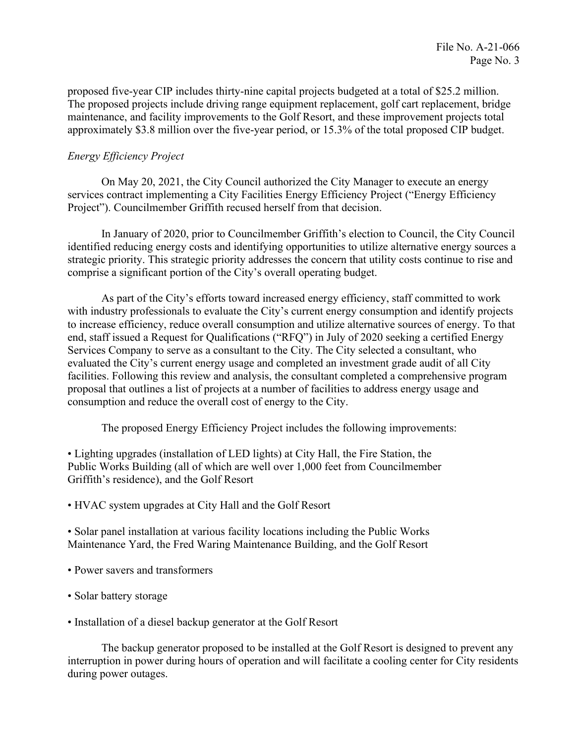proposed five-year CIP includes thirty-nine capital projects budgeted at a total of \$25.2 million. The proposed projects include driving range equipment replacement, golf cart replacement, bridge maintenance, and facility improvements to the Golf Resort, and these improvement projects total approximately \$3.8 million over the five-year period, or 15.3% of the total proposed CIP budget.

## *Energy Efficiency Project*

On May 20, 2021, the City Council authorized the City Manager to execute an energy services contract implementing a City Facilities Energy Efficiency Project ("Energy Efficiency Project"). Councilmember Griffith recused herself from that decision.

In January of 2020, prior to Councilmember Griffith's election to Council, the City Council identified reducing energy costs and identifying opportunities to utilize alternative energy sources a strategic priority. This strategic priority addresses the concern that utility costs continue to rise and comprise a significant portion of the City's overall operating budget.

 proposal that outlines a list of projects at a number of facilities to address energy usage and As part of the City's efforts toward increased energy efficiency, staff committed to work with industry professionals to evaluate the City's current energy consumption and identify projects to increase efficiency, reduce overall consumption and utilize alternative sources of energy. To that end, staff issued a Request for Qualifications ("RFQ") in July of 2020 seeking a certified Energy Services Company to serve as a consultant to the City. The City selected a consultant, who evaluated the City's current energy usage and completed an investment grade audit of all City facilities. Following this review and analysis, the consultant completed a comprehensive program consumption and reduce the overall cost of energy to the City.

The proposed Energy Efficiency Project includes the following improvements:

• Lighting upgrades (installation of LED lights) at City Hall, the Fire Station, the Public Works Building (all of which are well over 1,000 feet from Councilmember Griffith's residence), and the Golf Resort

• HVAC system upgrades at City Hall and the Golf Resort

 • Solar panel installation at various facility locations including the Public Works Maintenance Yard, the Fred Waring Maintenance Building, and the Golf Resort

- Power savers and transformers
- Solar battery storage
- Installation of a diesel backup generator at the Golf Resort

The backup generator proposed to be installed at the Golf Resort is designed to prevent any interruption in power during hours of operation and will facilitate a cooling center for City residents during power outages.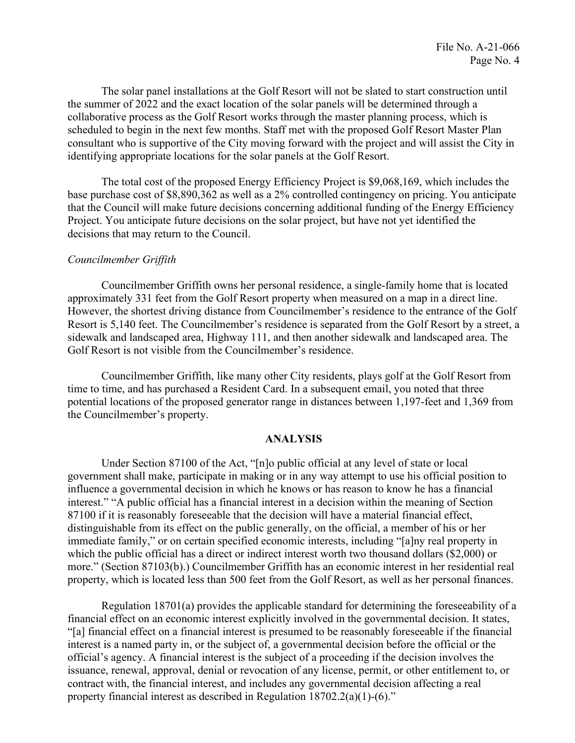The solar panel installations at the Golf Resort will not be slated to start construction until the summer of 2022 and the exact location of the solar panels will be determined through a collaborative process as the Golf Resort works through the master planning process, which is scheduled to begin in the next few months. Staff met with the proposed Golf Resort Master Plan consultant who is supportive of the City moving forward with the project and will assist the City in identifying appropriate locations for the solar panels at the Golf Resort.

The total cost of the proposed Energy Efficiency Project is \$9,068,169, which includes the base purchase cost of \$8,890,362 as well as a 2% controlled contingency on pricing. You anticipate that the Council will make future decisions concerning additional funding of the Energy Efficiency Project. You anticipate future decisions on the solar project, but have not yet identified the decisions that may return to the Council.

### *Councilmember Griffith*

Councilmember Griffith owns her personal residence, a single-family home that is located approximately 331 feet from the Golf Resort property when measured on a map in a direct line. However, the shortest driving distance from Councilmember's residence to the entrance of the Golf Resort is 5,140 feet. The Councilmember's residence is separated from the Golf Resort by a street, a sidewalk and landscaped area, Highway 111, and then another sidewalk and landscaped area. The Golf Resort is not visible from the Councilmember's residence.

Councilmember Griffith, like many other City residents, plays golf at the Golf Resort from time to time, and has purchased a Resident Card. In a subsequent email, you noted that three potential locations of the proposed generator range in distances between 1,197-feet and 1,369 from the Councilmember's property.

#### **ANALYSIS**

Under Section 87100 of the Act, "[n]o public official at any level of state or local government shall make, participate in making or in any way attempt to use his official position to influence a governmental decision in which he knows or has reason to know he has a financial interest." "A public official has a financial interest in a decision within the meaning of Section 87100 if it is reasonably foreseeable that the decision will have a material financial effect, distinguishable from its effect on the public generally, on the official, a member of his or her immediate family," or on certain specified economic interests, including "[a]ny real property in which the public official has a direct or indirect interest worth two thousand dollars (\$2,000) or more." (Section 87103(b).) Councilmember Griffith has an economic interest in her residential real property, which is located less than 500 feet from the Golf Resort, as well as her personal finances.

 "[a] financial effect on a financial interest is presumed to be reasonably foreseeable if the financial Regulation 18701(a) provides the applicable standard for determining the foreseeability of a financial effect on an economic interest explicitly involved in the governmental decision. It states, interest is a named party in, or the subject of, a governmental decision before the official or the official's agency. A financial interest is the subject of a proceeding if the decision involves the issuance, renewal, approval, denial or revocation of any license, permit, or other entitlement to, or contract with, the financial interest, and includes any governmental decision affecting a real property financial interest as described in Regulation 18702.2(a)(1)-(6)."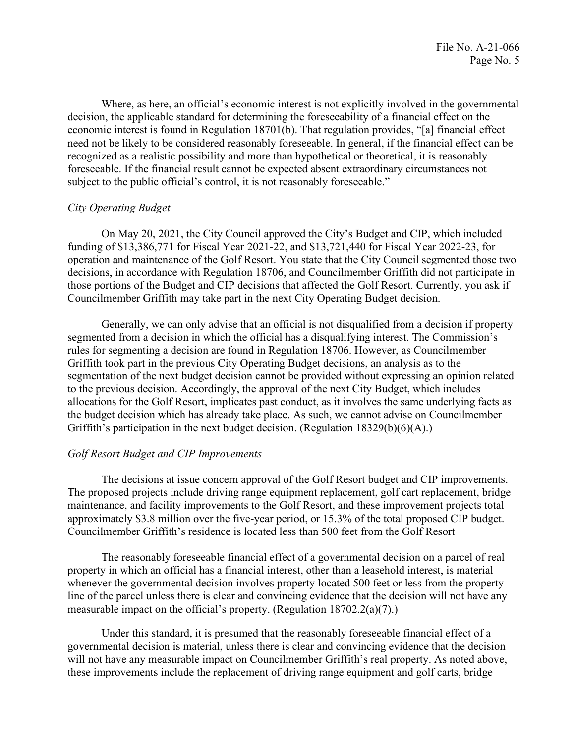economic interest is found in Regulation 18701(b). That regulation provides, "[a] financial effect recognized as a realistic possibility and more than hypothetical or theoretical, it is reasonably Where, as here, an official's economic interest is not explicitly involved in the governmental decision, the applicable standard for determining the foreseeability of a financial effect on the need not be likely to be considered reasonably foreseeable. In general, if the financial effect can be foreseeable. If the financial result cannot be expected absent extraordinary circumstances not subject to the public official's control, it is not reasonably foreseeable."

## *City Operating Budget*

On May 20, 2021, the City Council approved the City's Budget and CIP, which included funding of \$13,386,771 for Fiscal Year 2021-22, and \$13,721,440 for Fiscal Year 2022-23, for operation and maintenance of the Golf Resort. You state that the City Council segmented those two decisions, in accordance with Regulation 18706, and Councilmember Griffith did not participate in those portions of the Budget and CIP decisions that affected the Golf Resort. Currently, you ask if Councilmember Griffith may take part in the next City Operating Budget decision.

Generally, we can only advise that an official is not disqualified from a decision if property segmented from a decision in which the official has a disqualifying interest. The Commission's rules for segmenting a decision are found in Regulation 18706. However, as Councilmember Griffith took part in the previous City Operating Budget decisions, an analysis as to the segmentation of the next budget decision cannot be provided without expressing an opinion related to the previous decision. Accordingly, the approval of the next City Budget, which includes allocations for the Golf Resort, implicates past conduct, as it involves the same underlying facts as the budget decision which has already take place. As such, we cannot advise on Councilmember Griffith's participation in the next budget decision. (Regulation 18329(b)(6)(A).)

## *Golf Resort Budget and CIP Improvements*

The decisions at issue concern approval of the Golf Resort budget and CIP improvements. The proposed projects include driving range equipment replacement, golf cart replacement, bridge maintenance, and facility improvements to the Golf Resort, and these improvement projects total approximately \$3.8 million over the five-year period, or 15.3% of the total proposed CIP budget. Councilmember Griffith's residence is located less than 500 feet from the Golf Resort

The reasonably foreseeable financial effect of a governmental decision on a parcel of real property in which an official has a financial interest, other than a leasehold interest, is material whenever the governmental decision involves property located 500 feet or less from the property line of the parcel unless there is clear and convincing evidence that the decision will not have any measurable impact on the official's property. (Regulation 18702.2(a)(7).)

Under this standard, it is presumed that the reasonably foreseeable financial effect of a governmental decision is material, unless there is clear and convincing evidence that the decision will not have any measurable impact on Councilmember Griffith's real property. As noted above, these improvements include the replacement of driving range equipment and golf carts, bridge